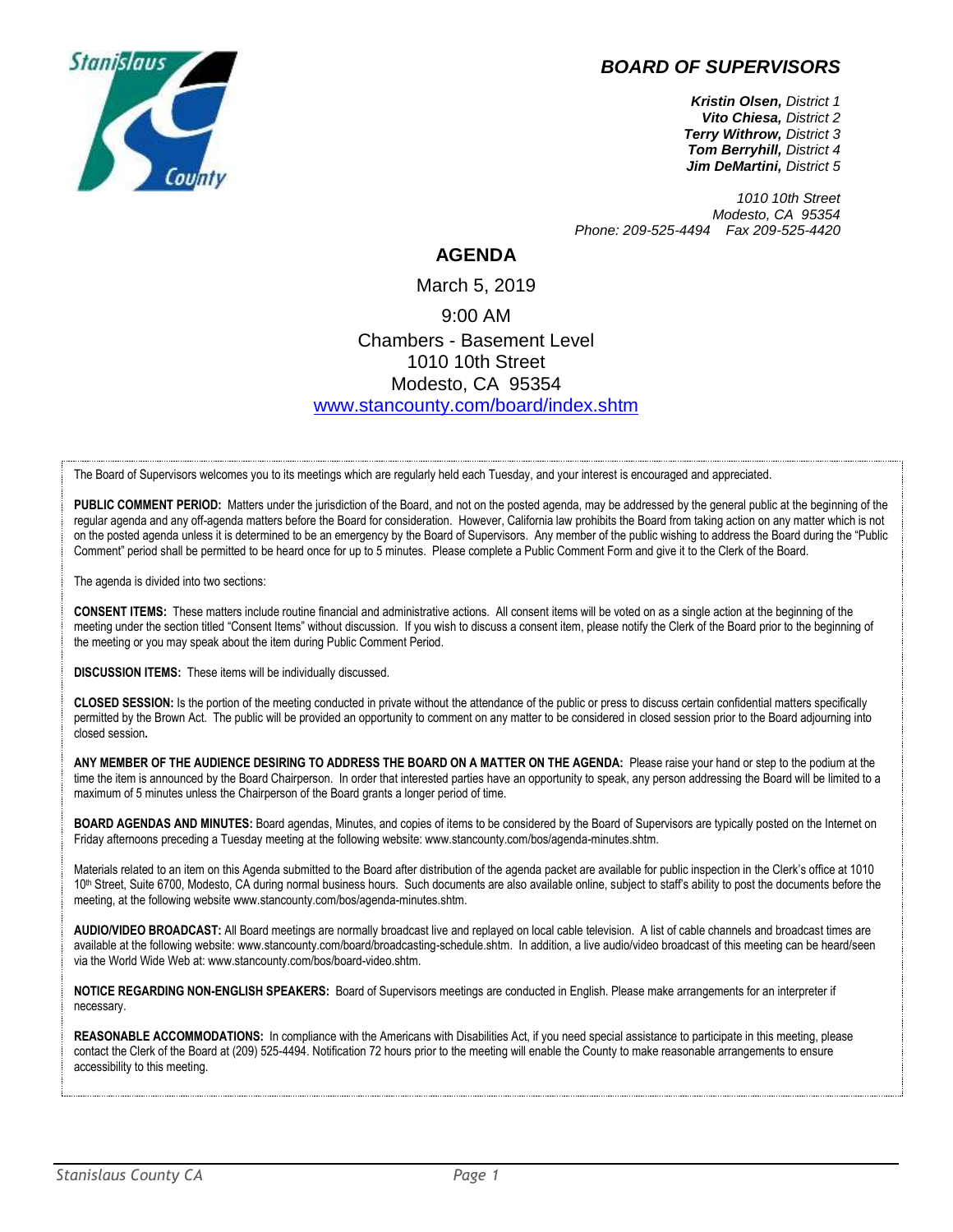## *BOARD OF SUPERVISORS*



*Kristin Olsen, District 1 Vito Chiesa, District 2 Terry Withrow, District 3 Tom Berryhill, District 4 Jim DeMartini, District 5*

*1010 10th Street Modesto, CA 95354 Phone: 209-525-4494 Fax 209-525-4420*

## **AGENDA**

March 5, 2019 9:00 AM Chambers - Basement Level 1010 10th Street Modesto, CA 95354 [www.stancounty.com/board/index.shtm](http://www.stancounty.com/board/index.shtm)

The Board of Supervisors welcomes you to its meetings which are regularly held each Tuesday, and your interest is encouraged and appreciated.

PUBLIC COMMENT PERIOD: Matters under the jurisdiction of the Board, and not on the posted agenda, may be addressed by the general public at the beginning of the regular agenda and any off-agenda matters before the Board for consideration. However, California law prohibits the Board from taking action on any matter which is not on the posted agenda unless it is determined to be an emergency by the Board of Supervisors. Any member of the public wishing to address the Board during the "Public Comment" period shall be permitted to be heard once for up to 5 minutes. Please complete a Public Comment Form and give it to the Clerk of the Board.

The agenda is divided into two sections:

**CONSENT ITEMS:** These matters include routine financial and administrative actions. All consent items will be voted on as a single action at the beginning of the meeting under the section titled "Consent Items" without discussion. If you wish to discuss a consent item, please notify the Clerk of the Board prior to the beginning of the meeting or you may speak about the item during Public Comment Period.

**DISCUSSION ITEMS:** These items will be individually discussed.

**CLOSED SESSION:** Is the portion of the meeting conducted in private without the attendance of the public or press to discuss certain confidential matters specifically permitted by the Brown Act. The public will be provided an opportunity to comment on any matter to be considered in closed session prior to the Board adjourning into closed session**.**

**ANY MEMBER OF THE AUDIENCE DESIRING TO ADDRESS THE BOARD ON A MATTER ON THE AGENDA:** Please raise your hand or step to the podium at the time the item is announced by the Board Chairperson. In order that interested parties have an opportunity to speak, any person addressing the Board will be limited to a maximum of 5 minutes unless the Chairperson of the Board grants a longer period of time.

**BOARD AGENDAS AND MINUTES:** Board agendas, Minutes, and copies of items to be considered by the Board of Supervisors are typically posted on the Internet on Friday afternoons preceding a Tuesday meeting at the following website: www.stancounty.com/bos/agenda-minutes.shtm.

Materials related to an item on this Agenda submitted to the Board after distribution of the agenda packet are available for public inspection in the Clerk's office at 1010 10<sup>th</sup> Street, Suite 6700, Modesto, CA during normal business hours. Such documents are also available online, subject to staff's ability to post the documents before the meeting, at the following website www.stancounty.com/bos/agenda-minutes.shtm.

**AUDIO/VIDEO BROADCAST:** All Board meetings are normally broadcast live and replayed on local cable television. A list of cable channels and broadcast times are available at the following website: www.stancounty.com/board/broadcasting-schedule.shtm. In addition, a live audio/video broadcast of this meeting can be heard/seen via the World Wide Web at: www.stancounty.com/bos/board-video.shtm.

**NOTICE REGARDING NON-ENGLISH SPEAKERS:** Board of Supervisors meetings are conducted in English. Please make arrangements for an interpreter if necessary.

**REASONABLE ACCOMMODATIONS:** In compliance with the Americans with Disabilities Act, if you need special assistance to participate in this meeting, please contact the Clerk of the Board at (209) 525-4494. Notification 72 hours prior to the meeting will enable the County to make reasonable arrangements to ensure accessibility to this meeting.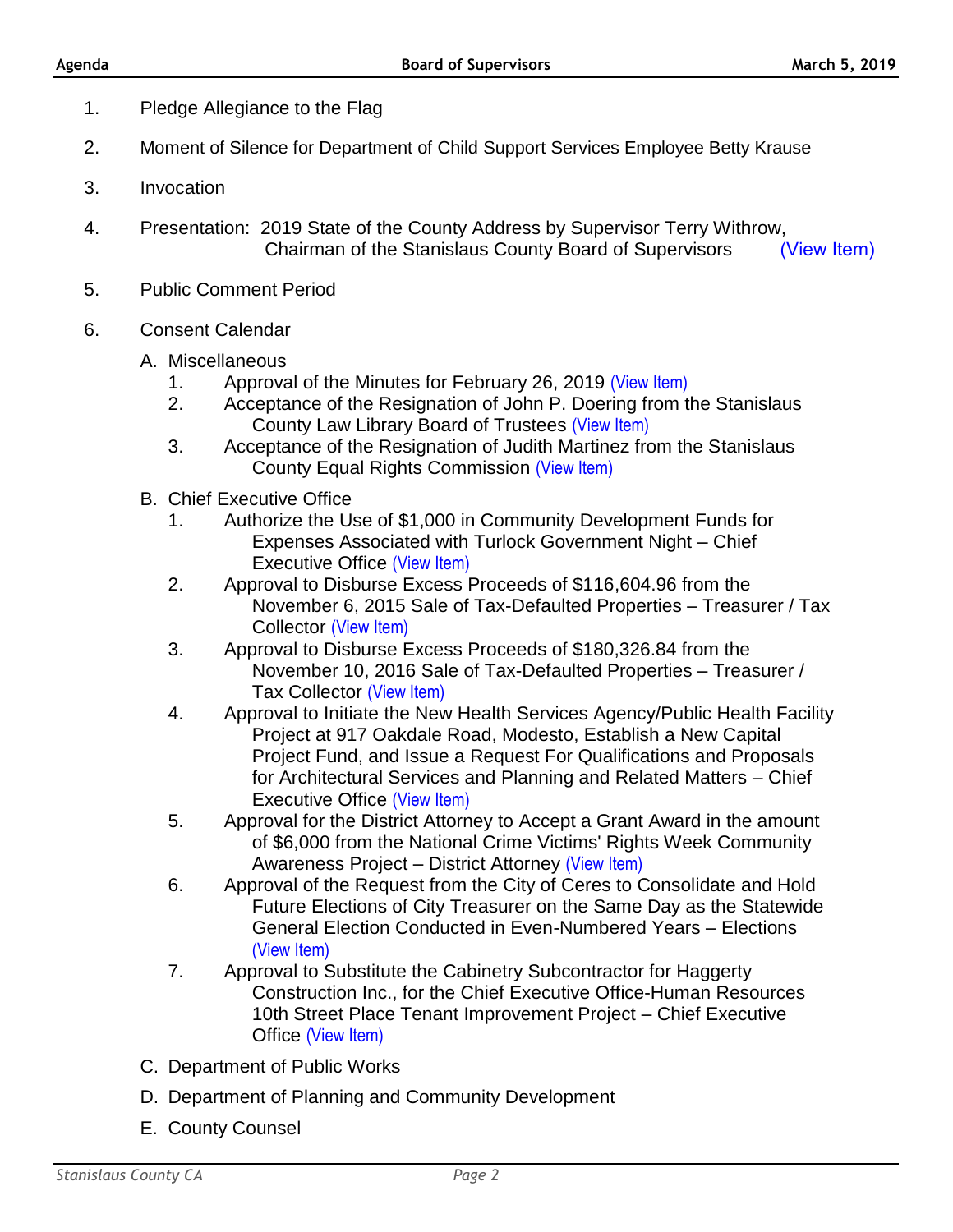- 1. Pledge Allegiance to the Flag
- 2. Moment of Silence for Department of Child Support Services Employee Betty Krause
- 3. Invocation
- 4. Presentation: 2019 State of the County Address by Supervisor Terry Withrow, Chairman of the Stanislaus County Board of Supervisors (View Item)
- 5. Public Comment Period
- 6. Consent Calendar
	- A. Miscellaneous
		- 1. Approval of the Minutes for February 26, 2019 [\(View Item\)](http://stancounty.com/bos/minutes/2019/min02-26-19.pdf)<br>2. Acceptance of the Resignation of John P. Doering from t
		- 2. Acceptance of the Resignation of John P. Doering from the Stanislaus County Law Library Board of Trustees [\(View Item\)](http://stancounty.com/bos/agenda/2019/20190305/A02.pdf)
		- 3. Acceptance of the Resignation of Judith Martinez from the Stanislaus County Equal Rights Commission [\(View Item\)](http://stancounty.com/bos/agenda/2019/20190305/A03.pdf)
	- B. Chief Executive Office
		- 1. Authorize the Use of \$1,000 in Community Development Funds for Expenses Associated with Turlock Government Night – Chief Executive Office [\(View Item\)](http://stancounty.com/bos/agenda/2019/20190305/B01.pdf)
		- 2. Approval to Disburse Excess Proceeds of \$116,604.96 from the November 6, 2015 Sale of Tax-Defaulted Properties – Treasurer / Tax Collector [\(View Item\)](http://stancounty.com/bos/agenda/2019/20190305/B02.pdf)
		- 3. Approval to Disburse Excess Proceeds of \$180,326.84 from the November 10, 2016 Sale of Tax-Defaulted Properties – Treasurer / Tax Collector [\(View Item\)](http://stancounty.com/bos/agenda/2019/20190305/B03.pdf)
		- 4. Approval to Initiate the New Health Services Agency/Public Health Facility Project at 917 Oakdale Road, Modesto, Establish a New Capital Project Fund, and Issue a Request For Qualifications and Proposals for Architectural Services and Planning and Related Matters – Chief Executive Office [\(View Item\)](http://stancounty.com/bos/agenda/2019/20190305/B04.pdf)
		- 5. Approval for the District Attorney to Accept a Grant Award in the amount of \$6,000 from the National Crime Victims' Rights Week Community Awareness Project - District Attorney [\(View Item\)](http://stancounty.com/bos/agenda/2019/20190305/B05.pdf)
		- 6. Approval of the Request from the City of Ceres to Consolidate and Hold Future Elections of City Treasurer on the Same Day as the Statewide General Election Conducted in Even-Numbered Years – Elections [\(View Item\)](http://stancounty.com/bos/agenda/2019/20190305/B06.pdf)
		- 7. Approval to Substitute the Cabinetry Subcontractor for Haggerty Construction Inc., for the Chief Executive Office-Human Resources 10th Street Place Tenant Improvement Project – Chief Executive Office [\(View Item\)](http://stancounty.com/bos/agenda/2019/20190305/B07.pdf)
	- C. Department of Public Works
	- D. Department of Planning and Community Development
	- E. County Counsel